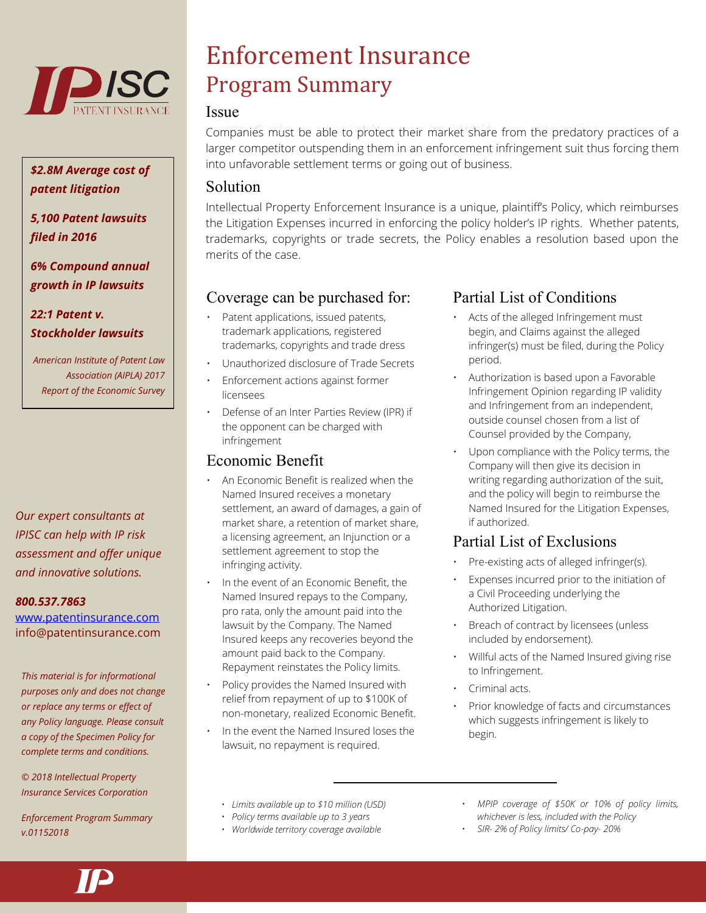

## *\$2.8M Average cost of patent litigation*

*5,100 Patent lawsuits filed in 2016*

*6% Compound annual growth in IP lawsuits*

*22:1 Patent v. Stockholder lawsuits*

*American Institute of Patent Law Association (AIPLA) 2017 Report of the Economic Survey*

*Our expert consultants at IPISC can help with IP risk assessment and offer unique and innovative solutions.*

#### *800.537.7863*

[www.patentinsurance.com](http://www.patentinsurance.com/) info@patentinsurance.com

*This material is for informational purposes only and does not change or replace any terms or effect of any Policy language. Please consult a copy of the Specimen Policy for complete terms and conditions.*

*© 2018 Intellectual Property Insurance Services Corporation*

*Enforcement Program Summary v.01152018*

# Enforcement Insurance Program Summary

#### **Issue**

Companies must be able to protect their market share from the predatory practices of a larger competitor outspending them in an enforcement infringement suit thus forcing them into unfavorable settlement terms or going out of business.

## Solution

Intellectual Property Enforcement Insurance is a unique, plaintiff's Policy, which reimburses the Litigation Expenses incurred in enforcing the policy holder's IP rights. Whether patents, trademarks, copyrights or trade secrets, the Policy enables a resolution based upon the merits of the case.

# Coverage can be purchased for:

- Patent applications, issued patents, trademark applications, registered trademarks, copyrights and trade dress
- Unauthorized disclosure of Trade Secrets
- Enforcement actions against former licensees
- Defense of an Inter Parties Review (IPR) if the opponent can be charged with infringement

# Economic Benefit

- An Economic Benefit is realized when the Named Insured receives a monetary settlement, an award of damages, a gain of market share, a retention of market share, a licensing agreement, an Injunction or a settlement agreement to stop the infringing activity.
- In the event of an Economic Benefit, the Named Insured repays to the Company, pro rata, only the amount paid into the lawsuit by the Company. The Named Insured keeps any recoveries beyond the amount paid back to the Company. Repayment reinstates the Policy limits.
- Policy provides the Named Insured with relief from repayment of up to \$100K of non-monetary, realized Economic Benefit.
- In the event the Named Insured loses the lawsuit, no repayment is required.

# Partial List of Conditions

- Acts of the alleged Infringement must begin, and Claims against the alleged infringer(s) must be filed, during the Policy period.
- Authorization is based upon a Favorable Infringement Opinion regarding IP validity and Infringement from an independent, outside counsel chosen from a list of Counsel provided by the Company,
- Upon compliance with the Policy terms, the Company will then give its decision in writing regarding authorization of the suit, and the policy will begin to reimburse the Named Insured for the Litigation Expenses, if authorized.

# Partial List of Exclusions

- Pre-existing acts of alleged infringer(s).
- Expenses incurred prior to the initiation of a Civil Proceeding underlying the Authorized Litigation.
- Breach of contract by licensees (unless included by endorsement).
- Willful acts of the Named Insured giving rise to Infringement.
- Criminal acts.
- Prior knowledge of facts and circumstances which suggests infringement is likely to begin.
- *Limits available up to \$10 million (USD)*
- *Policy terms available up to 3 years*
- *Worldwide territory coverage available*
- *MPIP coverage of \$50K or 10% of policy limits, whichever is less, included with the Policy*
- *SIR- 2% of Policy limits/ Co-pay- 20%*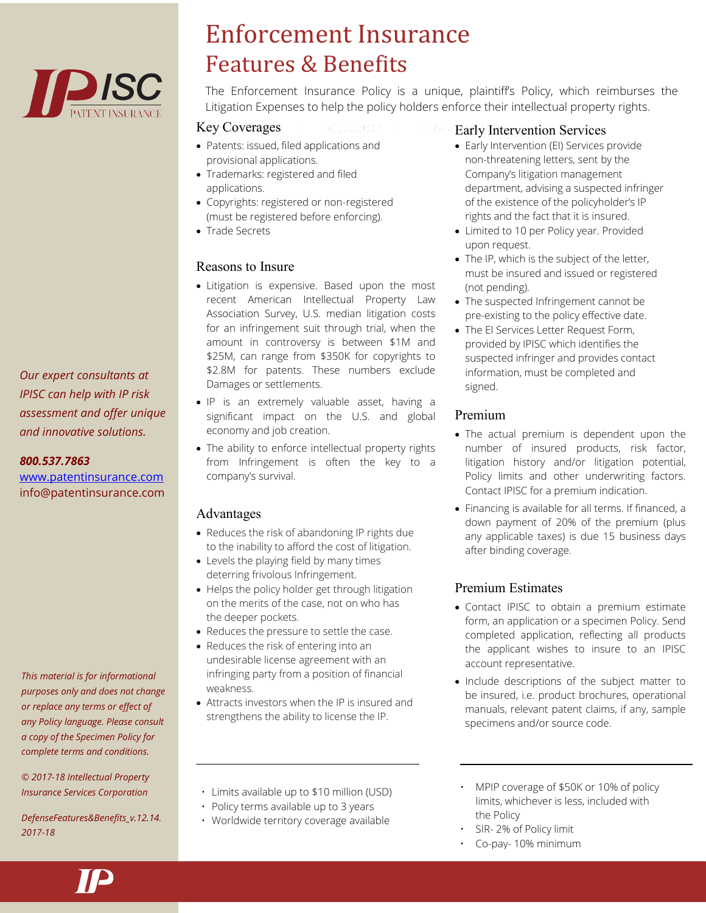

*Our expert consultants at IPISC can help with IP risk assessment and offer unique and innovative solutions.*

#### *800.537.7863*

[www.patentinsurance.com](http://www.patentinsurance.com/) info@patentinsurance.com

*This material is for informational purposes only and does not change or replace any terms or effect of any Policy language. Please consult a copy of the Specimen Policy for complete terms and conditions.*

*© 2017-18 Intellectual Property Insurance Services Corporation*

*DefenseFeatures&Benefits\_v.12.14. 2017-18*

# Enforcement Insurance Features & Benefits

The Enforcement Insurance Policy is a unique, plaintiff's Policy, which reimburses the Litigation Expenses to help the policy holders enforce their intellectual property rights.

#### Key Coverages

- Patents: issued, filed applications and provisional applications.
- Trademarks: registered and filed applications.
- Copyrights: registered or non-registered (must be registered before enforcing).
- Trade Secrets

## Reasons to Insure

- Litigation is expensive. Based upon the most recent American Intellectual Property Law Association Survey, U.S. median litigation costs for an infringement suit through trial, when the amount in controversy is between \$1M and \$25M, can range from \$350K for copyrights to \$2.8M for patents. These numbers exclude Damages or settlements.
- IP is an extremely valuable asset, having a significant impact on the U.S. and global economy and job creation.
- The ability to enforce intellectual property rights from Infringement is often the key to a company's survival.

## Advantages

- Reduces the risk of abandoning IP rights due to the inability to afford the cost of litigation.
- Levels the playing field by many times deterring frivolous Infringement.
- Helps the policy holder get through litigation on the merits of the case, not on who has the deeper pockets.
- Reduces the pressure to settle the case.
- Reduces the risk of entering into an undesirable license agreement with an infringing party from a position of financial weakness.
- Attracts investors when the IP is insured and strengthens the ability to license the IP.

#### Early Intervention Services

- Early Intervention (EI) Services provide non-threatening letters, sent by the Company's litigation management department, advising a suspected infringer of the existence of the policyholder's IP rights and the fact that it is insured.
- Limited to 10 per Policy year. Provided upon request.
- The IP, which is the subject of the letter, must be insured and issued or registered (not pending).
- The suspected Infringement cannot be pre-existing to the policy effective date.
- The EI Services Letter Request Form, provided by IPISC which identifies the suspected infringer and provides contact information, must be completed and signed.

## Premium

- The actual premium is dependent upon the number of insured products, risk factor, litigation history and/or litigation potential, Policy limits and other underwriting factors. Contact IPISC for a premium indication.
- Financing is available for all terms. If financed, a down payment of 20% of the premium (plus any applicable taxes) is due 15 business days after binding coverage.

## Premium Estimates

- Contact IPISC to obtain a premium estimate form, an application or a specimen Policy. Send completed application, reflecting all products the applicant wishes to insure to an IPISC account representative.
- Include descriptions of the subject matter to be insured, i.e. product brochures, operational manuals, relevant patent claims, if any, sample specimens and/or source code.
- Limits available up to \$10 million (USD)
- Policy terms available up to 3 years
- Worldwide territory coverage available
- MPIP coverage of \$50K or 10% of policy limits, whichever is less, included with the Policy
- SIR-2% of Policy limit
- Co-pay- 10% minimum

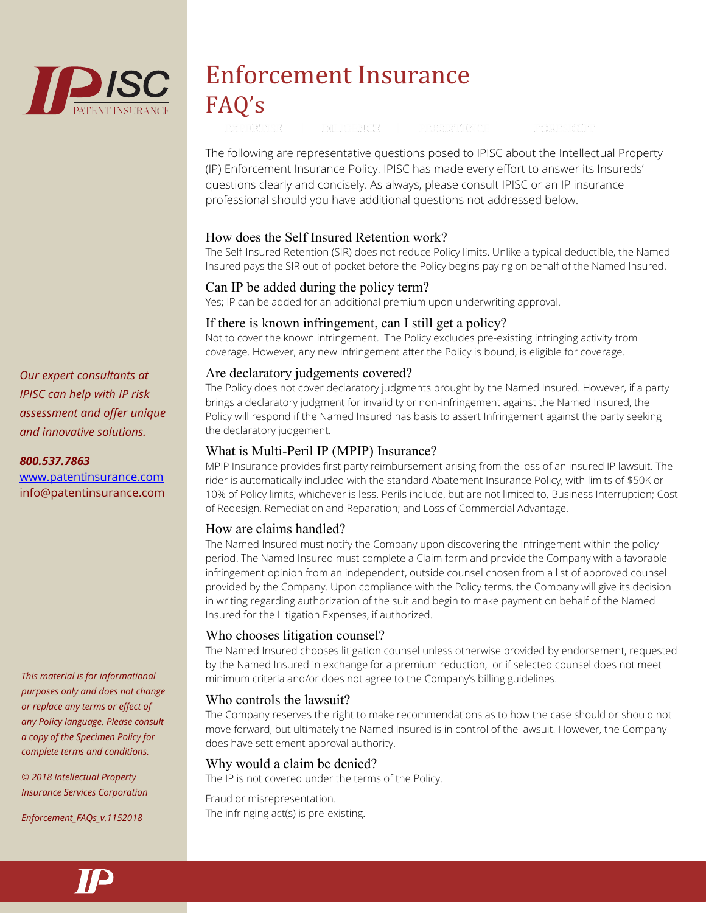

# Enforcement Insurance FAQ's

The following are representative questions posed to IPISC about the Intellectual Property (IP) Enforcement Insurance Policy. IPISC has made every effort to answer its Insureds' questions clearly and concisely. As always, please consult IPISC or an IP insurance professional should you have additional questions not addressed below.

## How does the Self Insured Retention work?

The Self-Insured Retention (SIR) does not reduce Policy limits. Unlike a typical deductible, the Named Insured pays the SIR out-of-pocket before the Policy begins paying on behalf of the Named Insured.

## Can IP be added during the policy term?

Yes; IP can be added for an additional premium upon underwriting approval.

## If there is known infringement, can I still get a policy?

Not to cover the known infringement. The Policy excludes pre-existing infringing activity from coverage. However, any new Infringement after the Policy is bound, is eligible for coverage.

## Are declaratory judgements covered?

The Policy does not cover declaratory judgments brought by the Named Insured. However, if a party brings a declaratory judgment for invalidity or non-infringement against the Named Insured, the Policy will respond if the Named Insured has basis to assert Infringement against the party seeking the declaratory judgement.

## What is Multi-Peril IP (MPIP) Insurance?

MPIP Insurance provides first party reimbursement arising from the loss of an insured IP lawsuit. The rider is automatically included with the standard Abatement Insurance Policy, with limits of \$50K or 10% of Policy limits, whichever is less. Perils include, but are not limited to, Business Interruption; Cost of Redesign, Remediation and Reparation; and Loss of Commercial Advantage.

## How are claims handled?

The Named Insured must notify the Company upon discovering the Infringement within the policy period. The Named Insured must complete a Claim form and provide the Company with a favorable infringement opinion from an independent, outside counsel chosen from a list of approved counsel provided by the Company. Upon compliance with the Policy terms, the Company will give its decision in writing regarding authorization of the suit and begin to make payment on behalf of the Named Insured for the Litigation Expenses, if authorized.

## Who chooses litigation counsel?

The Named Insured chooses litigation counsel unless otherwise provided by endorsement, requested by the Named Insured in exchange for a premium reduction, or if selected counsel does not meet minimum criteria and/or does not agree to the Company's billing guidelines.

## Who controls the lawsuit?

The Company reserves the right to make recommendations as to how the case should or should not move forward, but ultimately the Named Insured is in control of the lawsuit. However, the Company does have settlement approval authority.

## Why would a claim be denied?

The IP is not covered under the terms of the Policy.

Fraud or misrepresentation. The infringing act(s) is pre-existing.

*Our expert consultants at IPISC can help with IP risk assessment and offer unique and innovative solutions.*

#### *800.537.7863*

[www.patentinsurance.com](http://www.patentinsurance.com/) info@patentinsurance.com

*This material is for informational purposes only and does not change or replace any terms or effect of any Policy language. Please consult a copy of the Specimen Policy for complete terms and conditions.*

*© 2018 Intellectual Property Insurance Services Corporation*

*Enforcement\_FAQs\_v.1152018*